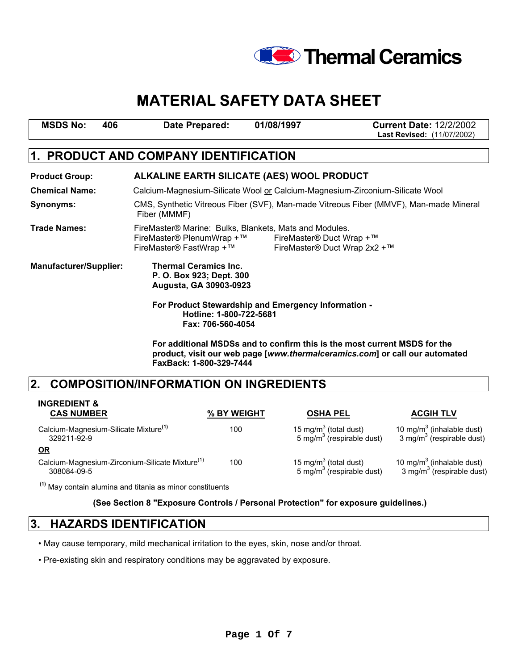

| <b>MSDS No:</b> | 406 | <b>Date Prepared:</b> | 01/08/1997 | <b>Current Date: 12/2/2002</b>    |
|-----------------|-----|-----------------------|------------|-----------------------------------|
|                 |     |                       |            | <b>Last Revised: (11/07/2002)</b> |

# **1. PRODUCT AND COMPANY IDENTIFICATION**

| <b>Product Group:</b>         | ALKALINE EARTH SILICATE (AES) WOOL PRODUCT                                                                                                                           |                                                          |  |  |
|-------------------------------|----------------------------------------------------------------------------------------------------------------------------------------------------------------------|----------------------------------------------------------|--|--|
| <b>Chemical Name:</b>         | Calcium-Magnesium-Silicate Wool or Calcium-Magnesium-Zirconium-Silicate Wool                                                                                         |                                                          |  |  |
| Synonyms:                     | CMS, Synthetic Vitreous Fiber (SVF), Man-made Vitreous Fiber (MMVF), Man-made Mineral<br>Fiber (MMMF)                                                                |                                                          |  |  |
| <b>Trade Names:</b>           | FireMaster® Marine: Bulks, Blankets, Mats and Modules.<br>FireMaster® PlenumWrap +™<br>FireMaster <sup>®</sup> FastWrap + ™                                          | FireMaster® Duct Wrap +™<br>FireMaster® Duct Wrap 2x2 +™ |  |  |
| <b>Manufacturer/Supplier:</b> | <b>Thermal Ceramics Inc.</b><br>P. O. Box 923; Dept. 300<br>Augusta, GA 30903-0923<br>For Product Stewardship and Emergency Information -<br>Hotline: 1-800-722-5681 |                                                          |  |  |
|                               | Fax: 706-560-4054                                                                                                                                                    |                                                          |  |  |

**For additional MSDSs and to confirm this is the most current MSDS for the product, visit our web page [***www.thermalceramics.com***] or call our automated FaxBack: 1-800-329-7444** 

# **2. COMPOSITION/INFORMATION ON INGREDIENTS**

| <b>INGREDIENT &amp;</b><br><b>CAS NUMBER</b>                               | % BY WEIGHT | <b>OSHA PEL</b>                                                            | <b>ACGIH TLV</b>                                                               |
|----------------------------------------------------------------------------|-------------|----------------------------------------------------------------------------|--------------------------------------------------------------------------------|
| Calcium-Magnesium-Silicate Mixture <sup>(1)</sup><br>329211-92-9           | 100         | 15 mg/m <sup>3</sup> (total dust)<br>5 mg/m <sup>3</sup> (respirable dust) | 10 mg/m <sup>3</sup> (inhalable dust)<br>3 mg/m <sup>3</sup> (respirable dust) |
| <b>OR</b>                                                                  |             |                                                                            |                                                                                |
| Calcium-Magnesium-Zirconium-Silicate Mixture <sup>(1)</sup><br>308084-09-5 | 100         | 15 mg/m <sup>3</sup> (total dust)<br>5 mg/m <sup>3</sup> (respirable dust) | 10 mg/m <sup>3</sup> (inhalable dust)<br>3 mg/m <sup>3</sup> (respirable dust) |

 **(1)** May contain alumina and titania as minor constituents

 **(See Section 8 "Exposure Controls / Personal Protection" for exposure guidelines.)** 

### **3. HAZARDS IDENTIFICATION**

• May cause temporary, mild mechanical irritation to the eyes, skin, nose and/or throat.

• Pre-existing skin and respiratory conditions may be aggravated by exposure.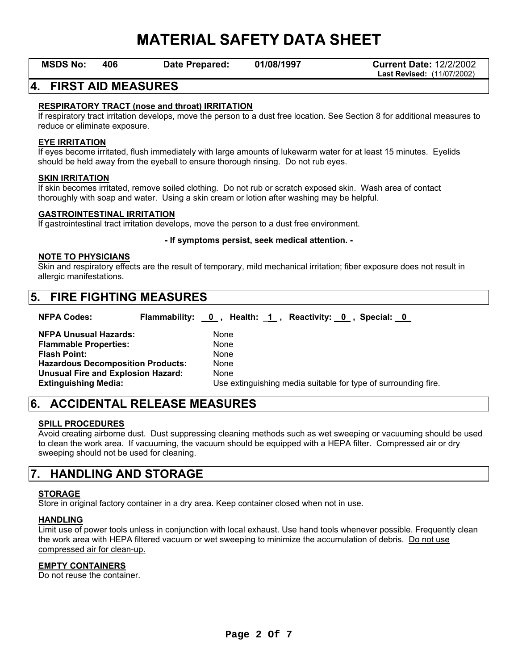**MSDS No: 406 Date Prepared: 01/08/1997 Current Date:** 12/2/2002 **Last Revised:** (11/07/2002)

## **4. FIRST AID MEASURES**

### **RESPIRATORY TRACT (nose and throat) IRRITATION**

If respiratory tract irritation develops, move the person to a dust free location. See Section 8 for additional measures to reduce or eliminate exposure.

#### **EYE IRRITATION**

If eyes become irritated, flush immediately with large amounts of lukewarm water for at least 15 minutes. Eyelids should be held away from the eyeball to ensure thorough rinsing. Do not rub eyes.

#### **SKIN IRRITATION**

If skin becomes irritated, remove soiled clothing. Do not rub or scratch exposed skin. Wash area of contact thoroughly with soap and water. Using a skin cream or lotion after washing may be helpful.

#### **GASTROINTESTINAL IRRITATION**

If gastrointestinal tract irritation develops, move the person to a dust free environment.

#### **- If symptoms persist, seek medical attention. -**

#### **NOTE TO PHYSICIANS**

Skin and respiratory effects are the result of temporary, mild mechanical irritation; fiber exposure does not result in allergic manifestations.

## **5. FIRE FIGHTING MEASURES**

| <b>NFPA Codes:</b>                        | Flammability: 0, Health: 1, Reactivity: 0, Special: 0 |      |                                                                |  |
|-------------------------------------------|-------------------------------------------------------|------|----------------------------------------------------------------|--|
| <b>NFPA Unusual Hazards:</b>              |                                                       | None |                                                                |  |
| <b>Flammable Properties:</b>              |                                                       | None |                                                                |  |
| <b>Flash Point:</b>                       |                                                       | None |                                                                |  |
| <b>Hazardous Decomposition Products:</b>  |                                                       | None |                                                                |  |
| <b>Unusual Fire and Explosion Hazard:</b> |                                                       | None |                                                                |  |
| <b>Extinguishing Media:</b>               |                                                       |      | Use extinguishing media suitable for type of surrounding fire. |  |

# **6. ACCIDENTAL RELEASE MEASURES**

### **SPILL PROCEDURES**

Avoid creating airborne dust. Dust suppressing cleaning methods such as wet sweeping or vacuuming should be used to clean the work area. If vacuuming, the vacuum should be equipped with a HEPA filter. Compressed air or dry sweeping should not be used for cleaning.

## **7. HANDLING AND STORAGE**

### **STORAGE**

Store in original factory container in a dry area. Keep container closed when not in use.

#### **HANDLING**

Limit use of power tools unless in conjunction with local exhaust. Use hand tools whenever possible. Frequently clean the work area with HEPA filtered vacuum or wet sweeping to minimize the accumulation of debris. Do not use compressed air for clean-up.

### **EMPTY CONTAINERS**

Do not reuse the container.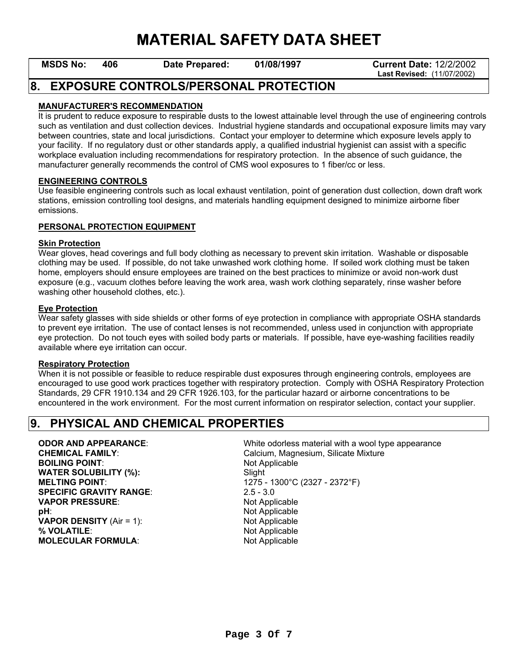**MSDS No: 406 Date Prepared: 01/08/1997 Current Date:** 12/2/2002 **Last Revised:** (11/07/2002)

## **8. EXPOSURE CONTROLS/PERSONAL PROTECTION**

### **MANUFACTURER'S RECOMMENDATION**

It is prudent to reduce exposure to respirable dusts to the lowest attainable level through the use of engineering controls such as ventilation and dust collection devices. Industrial hygiene standards and occupational exposure limits may vary between countries, state and local jurisdictions. Contact your employer to determine which exposure levels apply to your facility. If no regulatory dust or other standards apply, a qualified industrial hygienist can assist with a specific workplace evaluation including recommendations for respiratory protection. In the absence of such guidance, the manufacturer generally recommends the control of CMS wool exposures to 1 fiber/cc or less.

#### **ENGINEERING CONTROLS**

Use feasible engineering controls such as local exhaust ventilation, point of generation dust collection, down draft work stations, emission controlling tool designs, and materials handling equipment designed to minimize airborne fiber emissions.

### **PERSONAL PROTECTION EQUIPMENT**

#### **Skin Protection**

Wear gloves, head coverings and full body clothing as necessary to prevent skin irritation. Washable or disposable clothing may be used. If possible, do not take unwashed work clothing home. If soiled work clothing must be taken home, employers should ensure employees are trained on the best practices to minimize or avoid non-work dust exposure (e.g., vacuum clothes before leaving the work area, wash work clothing separately, rinse washer before washing other household clothes, etc.).

### **Eye Protection**

Wear safety glasses with side shields or other forms of eye protection in compliance with appropriate OSHA standards to prevent eye irritation. The use of contact lenses is not recommended, unless used in conjunction with appropriate eye protection. Do not touch eyes with soiled body parts or materials. If possible, have eye-washing facilities readily available where eye irritation can occur.

#### **Respiratory Protection**

When it is not possible or feasible to reduce respirable dust exposures through engineering controls, employees are encouraged to use good work practices together with respiratory protection. Comply with OSHA Respiratory Protection Standards, 29 CFR 1910.134 and 29 CFR 1926.103, for the particular hazard or airborne concentrations to be encountered in the work environment. For the most current information on respirator selection, contact your supplier.

# **9. PHYSICAL AND CHEMICAL PROPERTIES**

# **BOILING POINT:** Not Applicable **WATER SOLUBILITY (%):** Slight **SPECIFIC GRAVITY RANGE**: 2.5 - 3.0

**VAPOR PRESSURE:** Not Applicable **pH**: Not Applicable **VAPOR DENSITY** (Air = 1): Not Applicable **% VOLATILE**: Not Applicable **MOLECULAR FORMULA:** Not Applicable

**ODOR AND APPEARANCE:** White odorless material with a wool type appearance **CHEMICAL FAMILY:** Calcium, Magnesium, Silicate Mixture **MELTING POINT:** 1275 - 1300°C (2327 - 2372°F)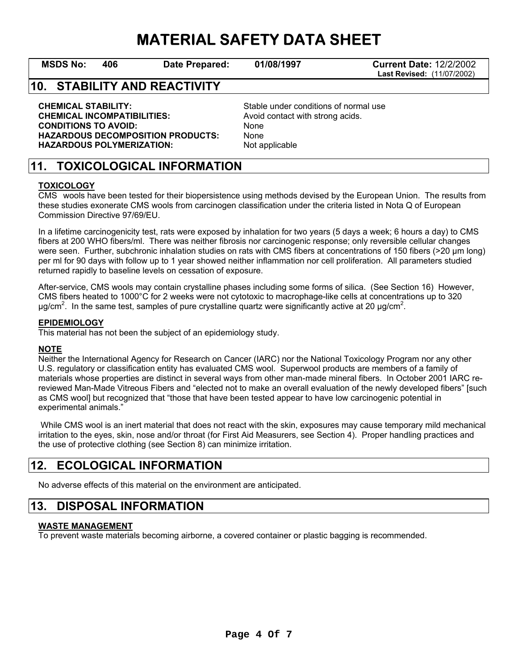**MSDS No: 406 Date Prepared: 01/08/1997 Current Date:** 12/2/2002 **Last Revised:** (11/07/2002)

# **10. STABILITY AND REACTIVITY**

**CHEMICAL STABILITY:** Stable under conditions of normal use **CHEMICAL INCOMPATIBILITIES:** Avoid contact with strong acids.<br> **CONDITIONS TO AVOID:** And a None **CONDITIONS TO AVOID: HAZARDOUS DECOMPOSITION PRODUCTS:** None HAZARDOUS POLYMERIZATION: Not applicable

# **11. TOXICOLOGICAL INFORMATION**

### **TOXICOLOGY**

CMS wools have been tested for their biopersistence using methods devised by the European Union. The results from these studies exonerate CMS wools from carcinogen classification under the criteria listed in Nota Q of European Commission Directive 97/69/EU.

In a lifetime carcinogenicity test, rats were exposed by inhalation for two years (5 days a week; 6 hours a day) to CMS fibers at 200 WHO fibers/ml. There was neither fibrosis nor carcinogenic response; only reversible cellular changes were seen. Further, subchronic inhalation studies on rats with CMS fibers at concentrations of 150 fibers (>20 µm long) per ml for 90 days with follow up to 1 year showed neither inflammation nor cell proliferation. All parameters studied returned rapidly to baseline levels on cessation of exposure.

After-service, CMS wools may contain crystalline phases including some forms of silica. (See Section 16) However, CMS fibers heated to 1000°C for 2 weeks were not cytotoxic to macrophage-like cells at concentrations up to 320  $\mu$ g/cm<sup>2</sup>. In the same test, samples of pure crystalline quartz were significantly active at 20  $\mu$ g/cm<sup>2</sup>.

#### **EPIDEMIOLOGY**

This material has not been the subject of an epidemiology study.

### **NOTE**

Neither the International Agency for Research on Cancer (IARC) nor the National Toxicology Program nor any other U.S. regulatory or classification entity has evaluated CMS wool. Superwool products are members of a family of materials whose properties are distinct in several ways from other man-made mineral fibers. In October 2001 IARC rereviewed Man-Made Vitreous Fibers and "elected not to make an overall evaluation of the newly developed fibers" [such as CMS wool] but recognized that "those that have been tested appear to have low carcinogenic potential in experimental animals."

 While CMS wool is an inert material that does not react with the skin, exposures may cause temporary mild mechanical irritation to the eyes, skin, nose and/or throat (for First Aid Measurers, see Section 4). Proper handling practices and the use of protective clothing (see Section 8) can minimize irritation.

## **12. ECOLOGICAL INFORMATION**

No adverse effects of this material on the environment are anticipated.

# **13. DISPOSAL INFORMATION**

### **WASTE MANAGEMENT**

To prevent waste materials becoming airborne, a covered container or plastic bagging is recommended.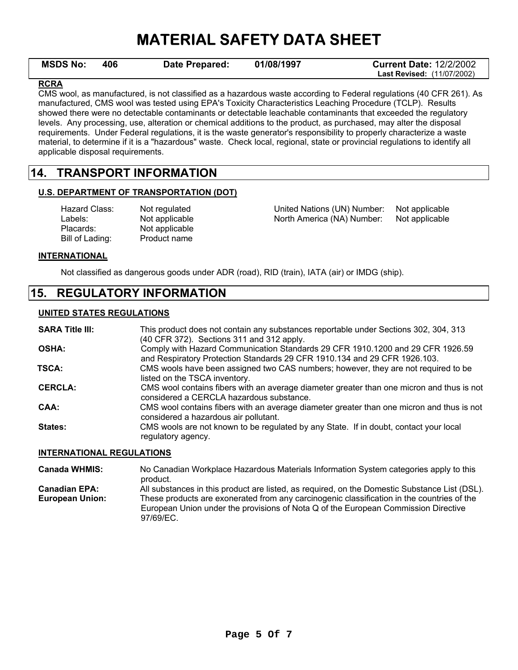| <b>MSDS No:</b> | 406 | Date Prepared: | 01/08/1997 | <b>Current Date: 12/2/2002</b>    |
|-----------------|-----|----------------|------------|-----------------------------------|
|                 |     |                |            | <b>Last Revised: (11/07/2002)</b> |

### **RCRA**

CMS wool, as manufactured, is not classified as a hazardous waste according to Federal regulations (40 CFR 261). As manufactured, CMS wool was tested using EPA's Toxicity Characteristics Leaching Procedure (TCLP). Results showed there were no detectable contaminants or detectable leachable contaminants that exceeded the regulatory levels. Any processing, use, alteration or chemical additions to the product, as purchased, may alter the disposal requirements. Under Federal regulations, it is the waste generator's responsibility to properly characterize a waste material, to determine if it is a "hazardous" waste. Check local, regional, state or provincial regulations to identify all applicable disposal requirements.

## **14. TRANSPORT INFORMATION**

### **U.S. DEPARTMENT OF TRANSPORTATION (DOT)**

| Not regulated  |
|----------------|
| Not applicable |
| Not applicable |
| Product name   |
|                |

ted **East Class Class Class** CON) Number: Not applicable able **North America (NA) Number:** Not applicable

**INTERNATIONAL**

Not classified as dangerous goods under ADR (road), RID (train), IATA (air) or IMDG (ship).

## **15. REGULATORY INFORMATION**

### **UNITED STATES REGULATIONS**

| <b>SARA Title III:</b> | This product does not contain any substances reportable under Sections 302, 304, 313<br>(40 CFR 372). Sections 311 and 312 apply.                           |
|------------------------|-------------------------------------------------------------------------------------------------------------------------------------------------------------|
| <b>OSHA:</b>           | Comply with Hazard Communication Standards 29 CFR 1910.1200 and 29 CFR 1926.59<br>and Respiratory Protection Standards 29 CFR 1910.134 and 29 CFR 1926.103. |
| TSCA:                  | CMS wools have been assigned two CAS numbers; however, they are not required to be<br>listed on the TSCA inventory.                                         |
| <b>CERCLA:</b>         | CMS wool contains fibers with an average diameter greater than one micron and thus is not<br>considered a CERCLA hazardous substance.                       |
| CAA:                   | CMS wool contains fibers with an average diameter greater than one micron and thus is not<br>considered a hazardous air pollutant.                          |
| States:                | CMS wools are not known to be regulated by any State. If in doubt, contact your local<br>regulatory agency.                                                 |

### **INTERNATIONAL REGULATIONS**

**Canada WHMIS:** No Canadian Workplace Hazardous Materials Information System categories apply to this product. **Canadian EPA:** All substances in this product are listed, as required, on the Domestic Substance List (DSL).<br>**European Union:** These products are exonerated from any carcinogenic classification in the countries of the These products are exonerated from any carcinogenic classification in the countries of the European Union under the provisions of Nota Q of the European Commission Directive 97/69/EC.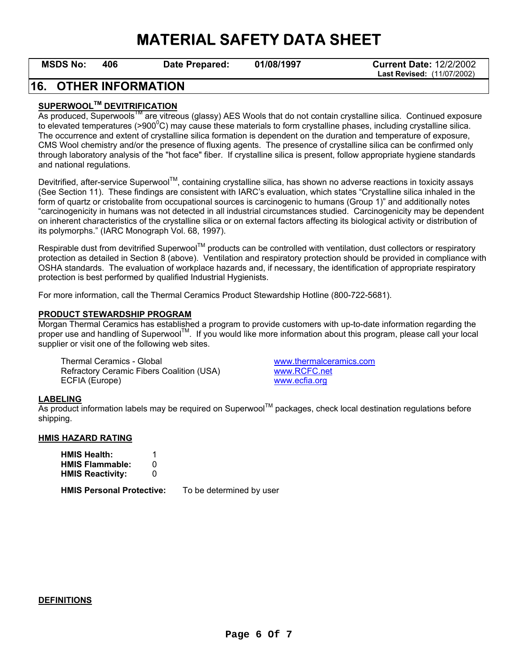**MSDS No: 406 Date Prepared: 01/08/1997 Current Date:** 12/2/2002 **Last Revised:** (11/07/2002)

## **16. OTHER INFORMATION**

### **SUPERWOOLTM DEVITRIFICATION**

As produced, Superwools<sup>TM</sup> are vitreous (glassy) AES Wools that do not contain crystalline silica. Continued exposure to elevated temperatures (>900 $\rm{^0C}$ ) may cause these materials to form crystalline phases, including crystalline silica. The occurrence and extent of crystalline silica formation is dependent on the duration and temperature of exposure, CMS Wool chemistry and/or the presence of fluxing agents. The presence of crystalline silica can be confirmed only through laboratory analysis of the "hot face" fiber. If crystalline silica is present, follow appropriate hygiene standards and national regulations.

Devitrified, after-service Superwool™, containing crystalline silica, has shown no adverse reactions in toxicity assays (See Section 11). These findings are consistent with IARC's evaluation, which states "Crystalline silica inhaled in the form of quartz or cristobalite from occupational sources is carcinogenic to humans (Group 1)" and additionally notes "carcinogenicity in humans was not detected in all industrial circumstances studied. Carcinogenicity may be dependent on inherent characteristics of the crystalline silica or on external factors affecting its biological activity or distribution of its polymorphs." (IARC Monograph Vol. 68, 1997).

Respirable dust from devitrified Superwool™ products can be controlled with ventilation, dust collectors or respiratory protection as detailed in Section 8 (above). Ventilation and respiratory protection should be provided in compliance with OSHA standards. The evaluation of workplace hazards and, if necessary, the identification of appropriate respiratory protection is best performed by qualified Industrial Hygienists.

For more information, call the Thermal Ceramics Product Stewardship Hotline (800-722-5681).

#### **PRODUCT STEWARDSHIP PROGRAM**

Morgan Thermal Ceramics has established a program to provide customers with up-to-date information regarding the proper use and handling of Superwool<sup>TM</sup>. If you would like more information about this program, please call your local supplier or visit one of the following web sites.

 Thermal Ceramics - Global www.thermalceramics.com Refractory Ceramic Fibers Coalition (USA) www.RCFC.net ECFIA (Europe) www.ecfia.org

#### **LABELING**

As product information labels may be required on Superwool™ packages, check local destination regulations before shipping.

#### **HMIS HAZARD RATING**

| <b>HMIS Health:</b>     |   |
|-------------------------|---|
| <b>HMIS Flammable:</b>  | O |
| <b>HMIS Reactivity:</b> | 0 |

**HMIS Personal Protective:** To be determined by user

#### **DEFINITIONS**